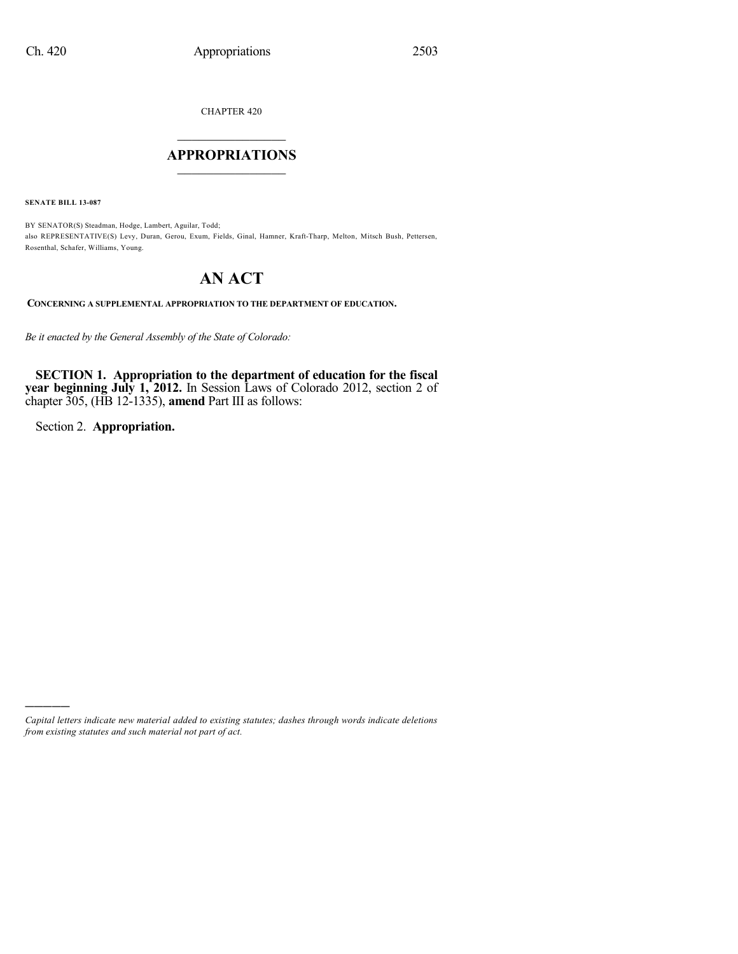CHAPTER 420

# $\mathcal{L}_\text{max}$  . The set of the set of the set of the set of the set of the set of the set of the set of the set of the set of the set of the set of the set of the set of the set of the set of the set of the set of the set **APPROPRIATIONS**  $\_$   $\_$   $\_$   $\_$   $\_$   $\_$   $\_$   $\_$

**SENATE BILL 13-087**

BY SENATOR(S) Steadman, Hodge, Lambert, Aguilar, Todd; also REPRESENTATIVE(S) Levy, Duran, Gerou, Exum, Fields, Ginal, Hamner, Kraft-Tharp, Melton, Mitsch Bush, Pettersen, Rosenthal, Schafer, Williams, Young.

# **AN ACT**

**CONCERNING A SUPPLEMENTAL APPROPRIATION TO THE DEPARTMENT OF EDUCATION.**

*Be it enacted by the General Assembly of the State of Colorado:*

**SECTION 1. Appropriation to the department of education for the fiscal year beginning July 1, 2012.** In Session Laws of Colorado 2012, section 2 of chapter 305, (HB 12-1335), **amend** Part III as follows:

Section 2. **Appropriation.**

)))))

*Capital letters indicate new material added to existing statutes; dashes through words indicate deletions from existing statutes and such material not part of act.*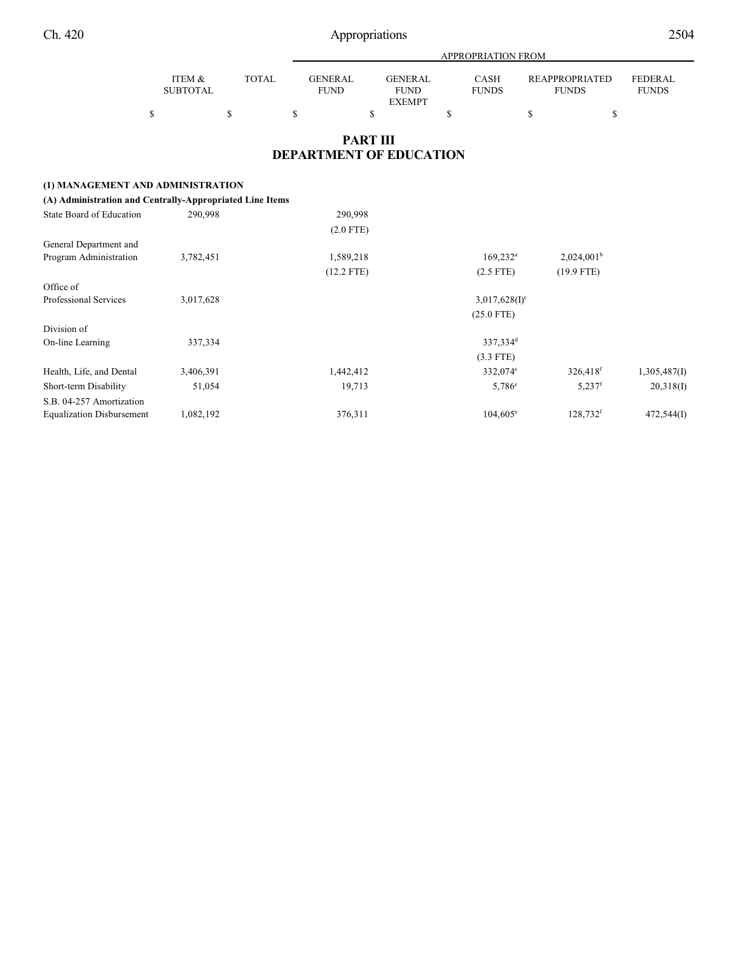|                           |              | APPROPRIATION FROM     |                        |                             |                                       |                                |  |
|---------------------------|--------------|------------------------|------------------------|-----------------------------|---------------------------------------|--------------------------------|--|
| ITEM &<br><b>SUBTOTAL</b> | <b>TOTAL</b> | GENERAL<br><b>FUND</b> | GENERAL<br><b>FUND</b> | <b>CASH</b><br><b>FUNDS</b> | <b>REAPPROPRIATED</b><br><b>FUNDS</b> | <b>FEDERAL</b><br><b>FUNDS</b> |  |
|                           |              |                        | <b>EXEMPT</b>          |                             |                                       |                                |  |
|                           |              |                        |                        |                             |                                       |                                |  |

# **PART III DEPARTMENT OF EDUCATION**

# **(1) MANAGEMENT AND ADMINISTRATION**

| (A) Administration and Centrally-Appropriated Line Items |           |              |                        |                      |              |
|----------------------------------------------------------|-----------|--------------|------------------------|----------------------|--------------|
| State Board of Education                                 | 290,998   | 290,998      |                        |                      |              |
|                                                          |           | $(2.0$ FTE)  |                        |                      |              |
| General Department and                                   |           |              |                        |                      |              |
| Program Administration                                   | 3,782,451 | 1,589,218    | $169,232$ <sup>a</sup> | $2,024,001^b$        |              |
|                                                          |           | $(12.2$ FTE) | $(2.5$ FTE)            | $(19.9$ FTE)         |              |
| Office of                                                |           |              |                        |                      |              |
| Professional Services                                    | 3,017,628 |              | $3,017,628(I)^c$       |                      |              |
|                                                          |           |              | $(25.0$ FTE)           |                      |              |
| Division of                                              |           |              |                        |                      |              |
| On-line Learning                                         | 337,334   |              | 337,334 <sup>d</sup>   |                      |              |
|                                                          |           |              | $(3.3$ FTE)            |                      |              |
| Health, Life, and Dental                                 | 3,406,391 | 1,442,412    | 332,074 <sup>e</sup>   | 326,418 <sup>f</sup> | 1,305,487(I) |
| Short-term Disability                                    | 51,054    | 19,713       | $5,786^{\circ}$        | $5,237$ <sup>f</sup> | 20,318(1)    |
| S.B. 04-257 Amortization                                 |           |              |                        |                      |              |
| <b>Equalization Disbursement</b>                         | 1,082,192 | 376,311      | $104,605^{\circ}$      | 128,732f             | 472,544(I)   |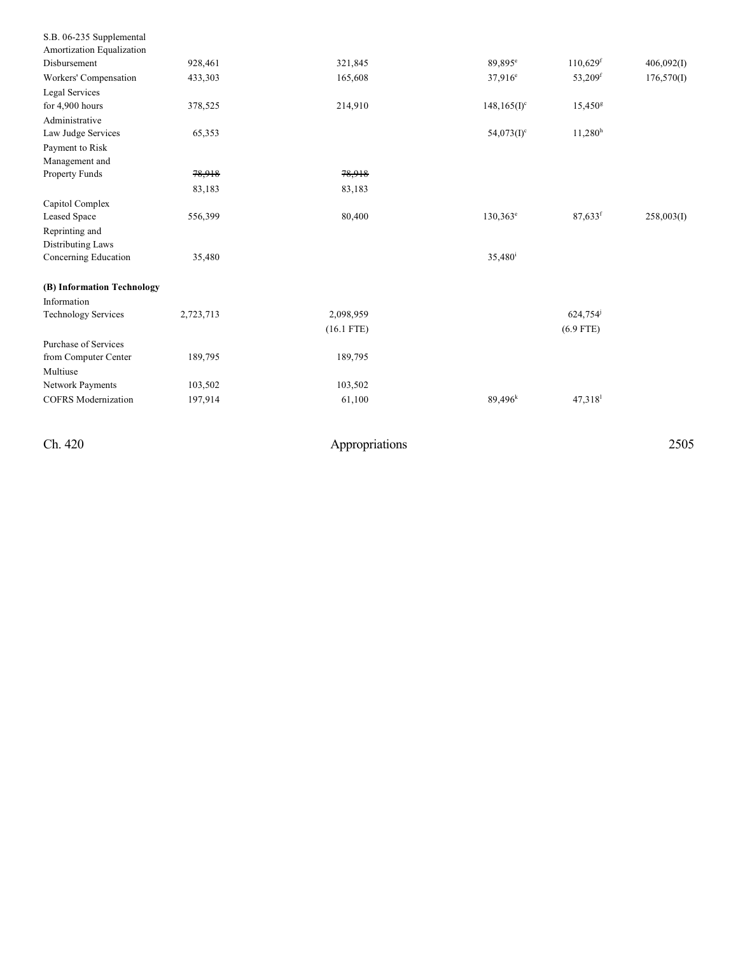| S.B. 06-235 Supplemental    |           |              |                             |                        |            |
|-----------------------------|-----------|--------------|-----------------------------|------------------------|------------|
| Amortization Equalization   |           |              |                             |                        |            |
| Disbursement                | 928,461   | 321,845      | 89,895 <sup>e</sup>         | $110,629$ <sup>f</sup> | 406,092(I) |
| Workers' Compensation       | 433,303   | 165,608      | $37.916^e$                  | 53,209 <sup>f</sup>    | 176,570(I) |
| Legal Services              |           |              |                             |                        |            |
| for 4,900 hours             | 378,525   | 214,910      | $148, 165$ (I) <sup>c</sup> | $15,450$ <sup>g</sup>  |            |
| Administrative              |           |              |                             |                        |            |
| Law Judge Services          | 65,353    |              | $54,073(1)$ <sup>c</sup>    | $11,280$ <sup>h</sup>  |            |
| Payment to Risk             |           |              |                             |                        |            |
| Management and              |           |              |                             |                        |            |
| Property Funds              | 78,918    | 78,918       |                             |                        |            |
|                             | 83,183    | 83,183       |                             |                        |            |
| Capitol Complex             |           |              |                             |                        |            |
| Leased Space                | 556,399   | 80,400       | $130,363^e$                 | $87,633$ <sup>f</sup>  | 258,003(I) |
| Reprinting and              |           |              |                             |                        |            |
| Distributing Laws           |           |              |                             |                        |            |
| Concerning Education        | 35,480    |              | 35,480 <sup>i</sup>         |                        |            |
| (B) Information Technology  |           |              |                             |                        |            |
| Information                 |           |              |                             |                        |            |
| <b>Technology Services</b>  | 2,723,713 | 2,098,959    |                             | 624,754 <sup>j</sup>   |            |
|                             |           | $(16.1$ FTE) |                             | $(6.9$ FTE)            |            |
| <b>Purchase of Services</b> |           |              |                             |                        |            |
| from Computer Center        | 189,795   | 189,795      |                             |                        |            |
| Multiuse                    |           |              |                             |                        |            |
| Network Payments            | 103,502   | 103,502      |                             |                        |            |
| <b>COFRS</b> Modernization  | 197,914   | 61,100       | $89,496^k$                  | $47,318$ <sup>1</sup>  |            |
|                             |           |              |                             |                        |            |

Ch. 420

Appropriations

2 5 0 5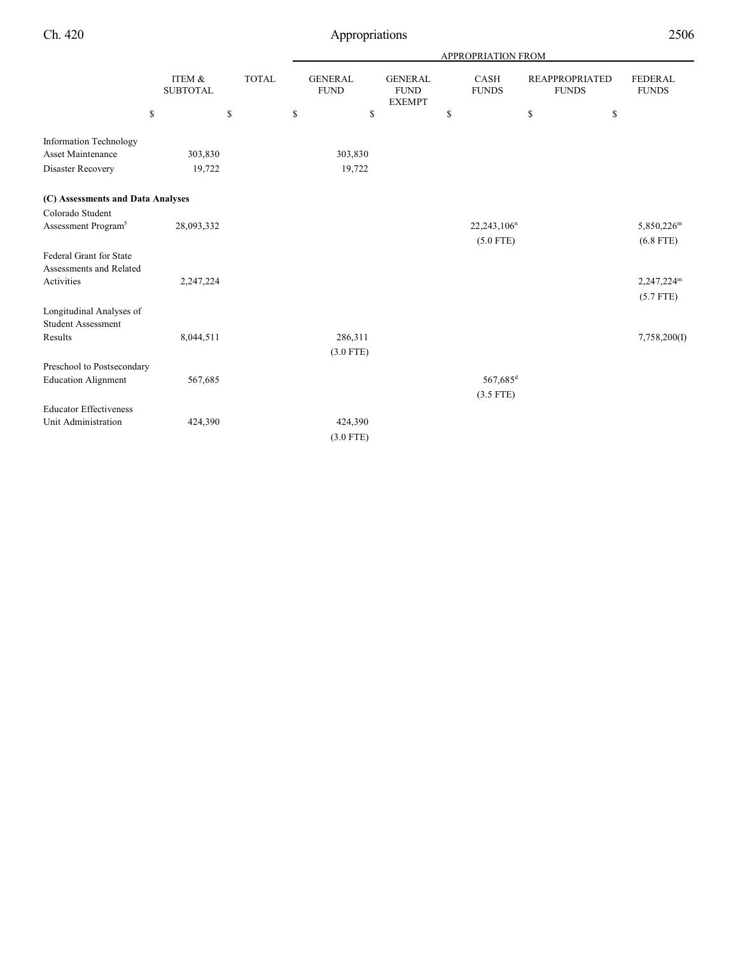|                                   |                           |              |                               |                                                | <b>APPROPRIATION FROM</b> |                                       |                         |
|-----------------------------------|---------------------------|--------------|-------------------------------|------------------------------------------------|---------------------------|---------------------------------------|-------------------------|
|                                   | ITEM &<br><b>SUBTOTAL</b> | <b>TOTAL</b> | <b>GENERAL</b><br><b>FUND</b> | <b>GENERAL</b><br><b>FUND</b><br><b>EXEMPT</b> | CASH<br><b>FUNDS</b>      | <b>REAPPROPRIATED</b><br><b>FUNDS</b> | FEDERAL<br><b>FUNDS</b> |
|                                   | \$                        | \$           | \$<br>\$                      |                                                | \$                        | \$                                    | \$                      |
| <b>Information Technology</b>     |                           |              |                               |                                                |                           |                                       |                         |
| <b>Asset Maintenance</b>          | 303,830                   |              | 303,830                       |                                                |                           |                                       |                         |
| Disaster Recovery                 | 19,722                    |              | 19,722                        |                                                |                           |                                       |                         |
| (C) Assessments and Data Analyses |                           |              |                               |                                                |                           |                                       |                         |
| Colorado Student                  |                           |              |                               |                                                |                           |                                       |                         |
| Assessment Program <sup>5</sup>   | 28,093,332                |              |                               |                                                | $22,243,106^n$            |                                       | 5,850,226 <sup>m</sup>  |
|                                   |                           |              |                               |                                                | $(5.0$ FTE)               |                                       | $(6.8$ FTE)             |
| Federal Grant for State           |                           |              |                               |                                                |                           |                                       |                         |
| Assessments and Related           |                           |              |                               |                                                |                           |                                       |                         |
| Activities                        | 2,247,224                 |              |                               |                                                |                           |                                       | 2,247,224 <sup>m</sup>  |
|                                   |                           |              |                               |                                                |                           |                                       | $(5.7$ FTE)             |
| Longitudinal Analyses of          |                           |              |                               |                                                |                           |                                       |                         |
| <b>Student Assessment</b>         |                           |              |                               |                                                |                           |                                       |                         |
| Results                           | 8,044,511                 |              | 286,311                       |                                                |                           |                                       | 7,758,200(I)            |
|                                   |                           |              | $(3.0$ FTE)                   |                                                |                           |                                       |                         |
| Preschool to Postsecondary        |                           |              |                               |                                                |                           |                                       |                         |
| <b>Education Alignment</b>        | 567,685                   |              |                               |                                                | 567,685 <sup>d</sup>      |                                       |                         |
|                                   |                           |              |                               |                                                | $(3.5$ FTE)               |                                       |                         |
| <b>Educator Effectiveness</b>     |                           |              |                               |                                                |                           |                                       |                         |
| Unit Administration               | 424,390                   |              | 424,390                       |                                                |                           |                                       |                         |
|                                   |                           |              | $(3.0$ FTE)                   |                                                |                           |                                       |                         |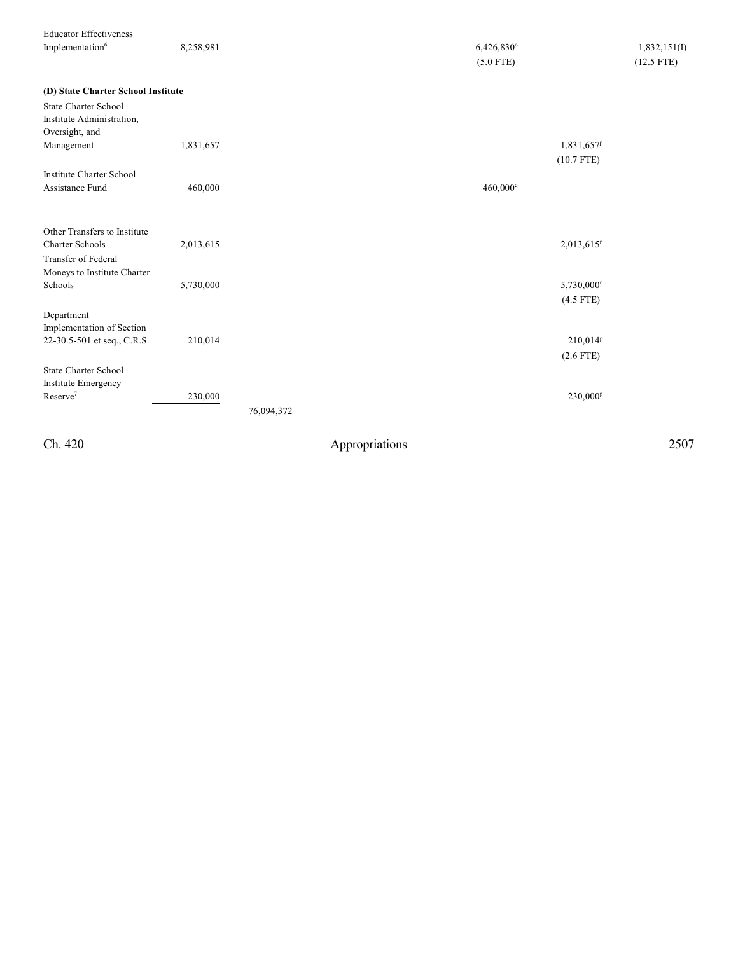| <b>Educator Effectiveness</b>      |           |                       |                          |              |
|------------------------------------|-----------|-----------------------|--------------------------|--------------|
| Implementation6                    | 8,258,981 |                       | 6,426,830°               | 1,832,151(I) |
|                                    |           |                       | $(5.0$ FTE)              | $(12.5$ FTE) |
| (D) State Charter School Institute |           |                       |                          |              |
| <b>State Charter School</b>        |           |                       |                          |              |
| Institute Administration,          |           |                       |                          |              |
| Oversight, and                     |           |                       |                          |              |
| Management                         | 1,831,657 |                       | 1,831,657 <sup>p</sup>   |              |
|                                    |           |                       | $(10.7$ FTE)             |              |
| <b>Institute Charter School</b>    |           |                       |                          |              |
| Assistance Fund                    | 460,000   |                       | 460,000 <sup>q</sup>     |              |
|                                    |           |                       |                          |              |
| Other Transfers to Institute       |           |                       |                          |              |
| <b>Charter Schools</b>             | 2,013,615 |                       | $2,013,615$ <sup>r</sup> |              |
| Transfer of Federal                |           |                       |                          |              |
| Moneys to Institute Charter        |           |                       |                          |              |
| Schools                            | 5,730,000 |                       | 5,730,000                |              |
|                                    |           |                       | $(4.5$ FTE)              |              |
| Department                         |           |                       |                          |              |
| Implementation of Section          |           |                       |                          |              |
| 22-30.5-501 et seq., C.R.S.        | 210,014   |                       | $210,014^p$              |              |
|                                    |           |                       | $(2.6$ FTE)              |              |
| <b>State Charter School</b>        |           |                       |                          |              |
| <b>Institute Emergency</b>         |           |                       |                          |              |
| Reserve <sup>7</sup>               | 230,000   |                       | 230,000 <sup>p</sup>     |              |
|                                    |           | <del>76.094.372</del> |                          |              |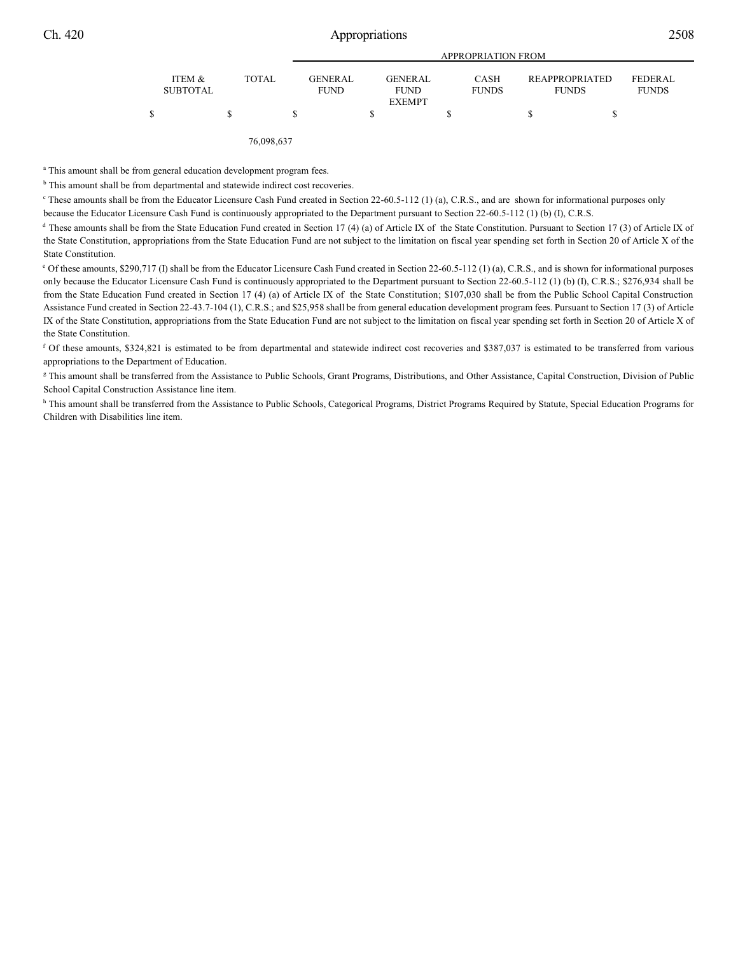|                           |              |                               | <b>APPROPRIATION FROM</b>                      |                             |                                       |                         |  |  |  |  |
|---------------------------|--------------|-------------------------------|------------------------------------------------|-----------------------------|---------------------------------------|-------------------------|--|--|--|--|
| ITEM &<br><b>SUBTOTAL</b> | <b>TOTAL</b> | <b>GENERAL</b><br><b>FUND</b> | <b>GENERAL</b><br><b>FUND</b><br><b>EXEMPT</b> | <b>CASH</b><br><b>FUNDS</b> | <b>REAPPROPRIATED</b><br><b>FUNDS</b> | FEDERAL<br><b>FUNDS</b> |  |  |  |  |
| \$                        | S            |                               |                                                |                             |                                       |                         |  |  |  |  |

76,098,637

<sup>a</sup> This amount shall be from general education development program fees.

<sup>b</sup> This amount shall be from departmental and statewide indirect cost recoveries.

<sup>c</sup> These amounts shall be from the Educator Licensure Cash Fund created in Section 22-60.5-112 (1) (a), C.R.S., and are shown for informational purposes only

because the Educator Licensure Cash Fund is continuously appropriated to the Department pursuant to Section 22-60.5-112 (1) (b) (I), C.R.S.

<sup>d</sup> These amounts shall be from the State Education Fund created in Section 17 (4) (a) of Article IX of the State Constitution. Pursuant to Section 17 (3) of Article IX of the State Constitution, appropriations from the State Education Fund are not subject to the limitation on fiscal year spending set forth in Section 20 of Article X of the State Constitution.

<sup>e</sup> Of these amounts, \$290,717 (I) shall be from the Educator Licensure Cash Fund created in Section 22-60.5-112 (1) (a), C.R.S., and is shown for informational purposes only because the Educator Licensure Cash Fund is continuously appropriated to the Department pursuant to Section 22-60.5-112 (1) (b) (I), C.R.S.; \$276,934 shall be from the State Education Fund created in Section 17 (4) (a) of Article IX of the State Constitution; \$107,030 shall be from the Public School Capital Construction Assistance Fund created in Section 22-43.7-104 (1), C.R.S.; and \$25,958 shall be from general education development program fees. Pursuant to Section 17 (3) of Article IX of the State Constitution, appropriations from the State Education Fund are not subject to the limitation on fiscal year spending set forth in Section 20 of Article X of the State Constitution.

 $f$  Of these amounts, \$324,821 is estimated to be from departmental and statewide indirect cost recoveries and \$387,037 is estimated to be transferred from various appropriations to the Department of Education.

<sup>g</sup> This amount shall be transferred from the Assistance to Public Schools, Grant Programs, Distributions, and Other Assistance, Capital Construction, Division of Public School Capital Construction Assistance line item.

h This amount shall be transferred from the Assistance to Public Schools, Categorical Programs, District Programs Required by Statute, Special Education Programs for Children with Disabilities line item.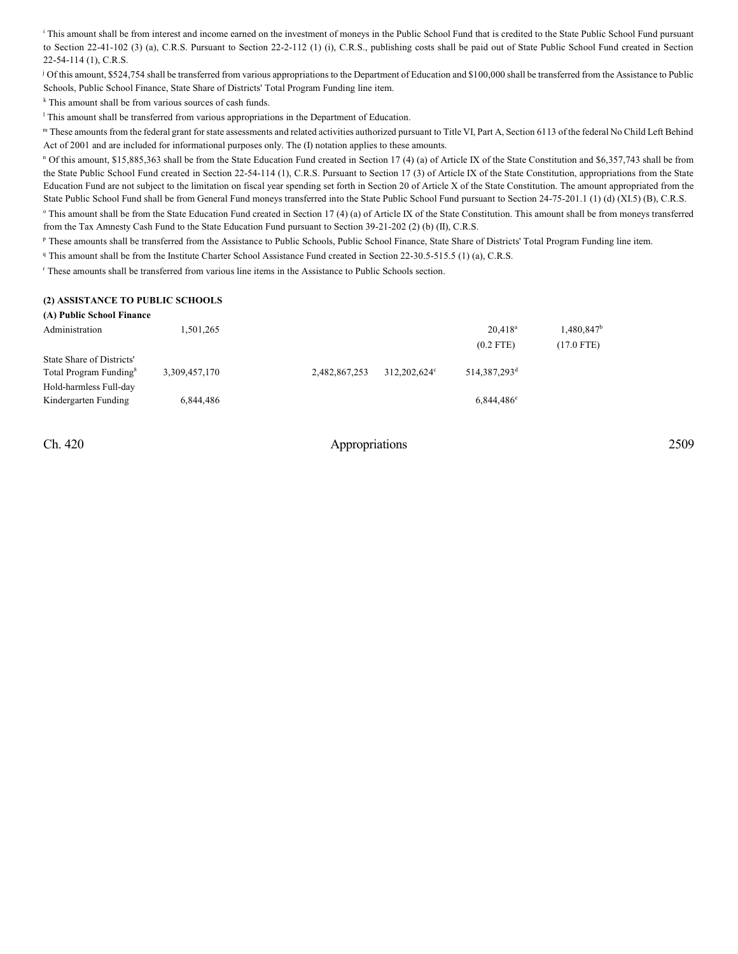<sup>i</sup> This amount shall be from interest and income earned on the investment of moneys in the Public School Fund that is credited to the State Public School Fund pursuant to Section 22-41-102 (3) (a), C.R.S. Pursuant to Section 22-2-112 (1) (i), C.R.S., publishing costs shall be paid out of State Public School Fund created in Section 22-54-114 (1), C.R.S.

<sup>j</sup> Of this amount, \$524,754 shall be transferred from various appropriations to the Department of Education and \$100,000 shall be transferred from the Assistance to Public Schools, Public School Finance, State Share of Districts' Total Program Funding line item.

 $k$  This amount shall be from various sources of cash funds.

<sup>1</sup> This amount shall be transferred from various appropriations in the Department of Education.

"These amounts from the federal grant for state assessments and related activities authorized pursuant to Title VI, Part A, Section 6113 of the federal No Child Left Behind Act of 2001 and are included for informational purposes only. The (I) notation applies to these amounts.

<sup>n</sup> Of this amount, \$15,885,363 shall be from the State Education Fund created in Section 17 (4) (a) of Article IX of the State Constitution and \$6,357,743 shall be from the State Public School Fund created in Section 22-54-114 (1), C.R.S. Pursuant to Section 17 (3) of Article IX of the State Constitution, appropriations from the State Education Fund are not subject to the limitation on fiscal year spending set forth in Section 20 of Article X of the State Constitution. The amount appropriated from the State Public School Fund shall be from General Fund moneys transferred into the State Public School Fund pursuant to Section 24-75-201.1 (1) (d) (XI.5) (B), C.R.S. <sup>o</sup> This amount shall be from the State Education Fund created in Section 17 (4) (a) of Article IX of the State Constitution. This amount shall be from moneys transferred from the Tax Amnesty Cash Fund to the State Education Fund pursuant to Section 39-21-202 (2) (b) (II), C.R.S.

P These amounts shall be transferred from the Assistance to Public Schools, Public School Finance, State Share of Districts' Total Program Funding line item.

<sup>q</sup> This amount shall be from the Institute Charter School Assistance Fund created in Section 22-30.5-515.5 (1) (a), C.R.S.

These amounts shall be transferred from various line items in the Assistance to Public Schools section.

#### **(2) ASSISTANCE TO PUBLIC SCHOOLS**

| (A) Public School Finance                                                                 |               |               |              |                           |                             |  |  |  |  |
|-------------------------------------------------------------------------------------------|---------------|---------------|--------------|---------------------------|-----------------------------|--|--|--|--|
| Administration                                                                            | 1,501,265     |               |              | $20.418^a$<br>$(0.2$ FTE) | $1,480,847^b$<br>(17.0 FTE) |  |  |  |  |
| State Share of Districts'<br>Total Program Funding <sup>8</sup><br>Hold-harmless Full-day | 3.309.457.170 | 2,482,867,253 | 312.202.624° | 514,387,293 <sup>d</sup>  |                             |  |  |  |  |
| Kindergarten Funding                                                                      | 6,844,486     |               |              | $6,844,486$ <sup>e</sup>  |                             |  |  |  |  |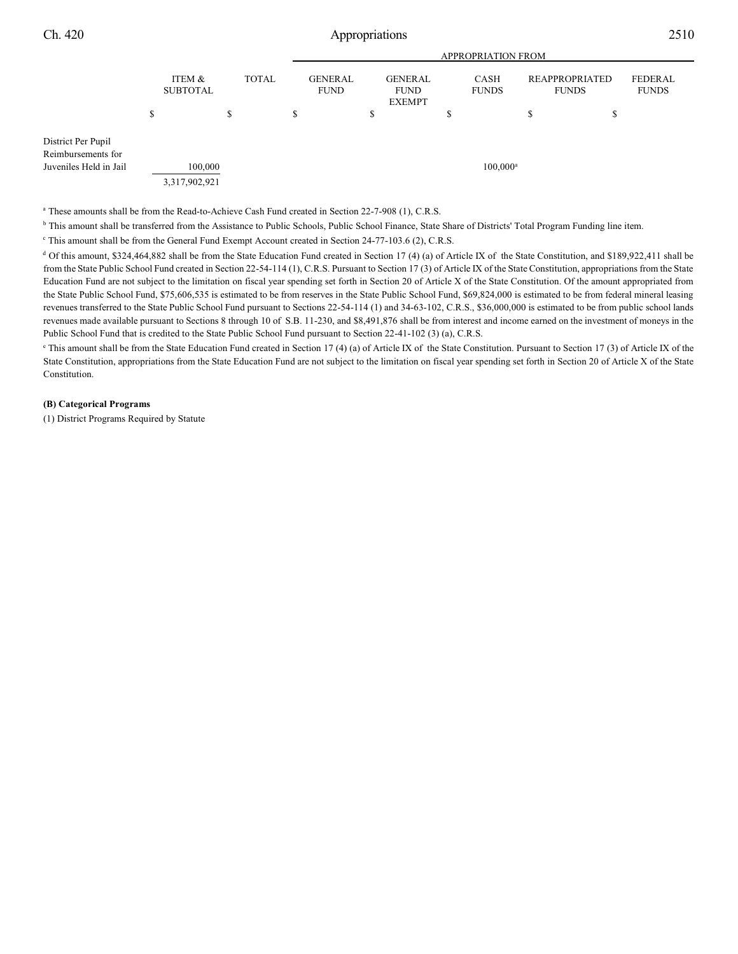|                                                                    |                           |              | <b>APPROPRIATION FROM</b>     |                                                |   |                      |                                |    |                         |
|--------------------------------------------------------------------|---------------------------|--------------|-------------------------------|------------------------------------------------|---|----------------------|--------------------------------|----|-------------------------|
|                                                                    | ITEM &<br><b>SUBTOTAL</b> | <b>TOTAL</b> | <b>GENERAL</b><br><b>FUND</b> | <b>GENERAL</b><br><b>FUND</b><br><b>EXEMPT</b> |   | CASH<br><b>FUNDS</b> | REAPPROPRIATED<br><b>FUNDS</b> |    | FEDERAL<br><b>FUNDS</b> |
|                                                                    | \$                        | S            | \$                            | \$                                             | S |                      | \$                             | \$ |                         |
| District Per Pupil<br>Reimbursements for<br>Juveniles Held in Jail | 100,000<br>3,317,902,921  |              |                               |                                                |   | $100,000^{\rm a}$    |                                |    |                         |

<sup>a</sup> These amounts shall be from the Read-to-Achieve Cash Fund created in Section 22-7-908 (1), C.R.S.

<sup>b</sup> This amount shall be transferred from the Assistance to Public Schools, Public School Finance, State Share of Districts' Total Program Funding line item.

<sup>c</sup> This amount shall be from the General Fund Exempt Account created in Section 24-77-103.6 (2), C.R.S.

<sup>d</sup> Of this amount, \$324,464,882 shall be from the State Education Fund created in Section 17 (4) (a) of Article IX of the State Constitution, and \$189,922,411 shall be from the State Public School Fund created in Section 22-54-114 (1), C.R.S. Pursuant to Section 17 (3) of Article IX of the State Constitution, appropriations from the State Education Fund are not subject to the limitation on fiscal year spending set forth in Section 20 of Article X of the State Constitution. Of the amount appropriated from the State Public School Fund, \$75,606,535 is estimated to be from reserves in the State Public School Fund, \$69,824,000 is estimated to be from federal mineral leasing revenues transferred to the State Public School Fund pursuant to Sections 22-54-114 (1) and 34-63-102, C.R.S., \$36,000,000 is estimated to be from public school lands revenues made available pursuant to Sections 8 through 10 of S.B. 11-230, and \$8,491,876 shall be from interest and income earned on the investment of moneys in the Public School Fund that is credited to the State Public School Fund pursuant to Section 22-41-102 (3) (a), C.R.S.

<sup>e</sup> This amount shall be from the State Education Fund created in Section 17 (4) (a) of Article IX of the State Constitution. Pursuant to Section 17 (3) of Article IX of the State Constitution, appropriations from the State Education Fund are not subject to the limitation on fiscal year spending set forth in Section 20 of Article X of the State Constitution.

### **(B) Categorical Programs**

(1) District Programs Required by Statute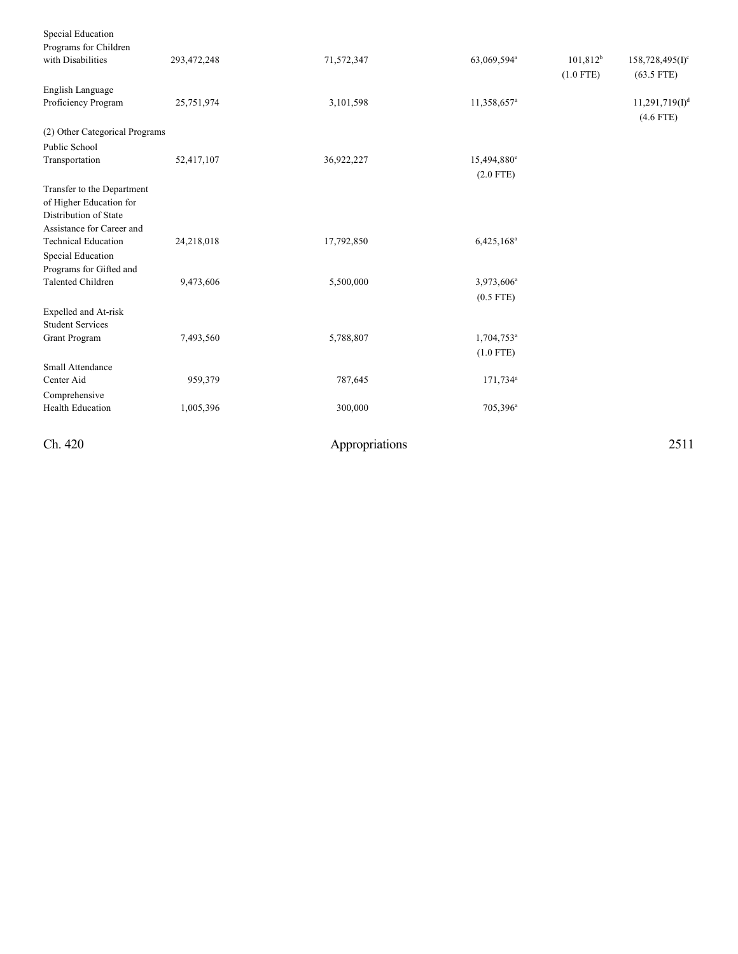| Ch. 420                                                 |             | Appropriations |                         |             | 2511               |
|---------------------------------------------------------|-------------|----------------|-------------------------|-------------|--------------------|
| <b>Health Education</b>                                 | 1,005,396   | 300,000        | 705,396 <sup>a</sup>    |             |                    |
| Comprehensive                                           |             |                |                         |             |                    |
| Center Aid                                              | 959,379     | 787,645        | 171,734 <sup>a</sup>    |             |                    |
| Small Attendance                                        |             |                |                         |             |                    |
|                                                         |             |                | $(1.0$ FTE)             |             |                    |
| Grant Program                                           | 7,493,560   | 5,788,807      | 1,704,753 <sup>a</sup>  |             |                    |
| <b>Student Services</b>                                 |             |                |                         |             |                    |
| Expelled and At-risk                                    |             |                |                         |             |                    |
|                                                         |             |                | $(0.5$ FTE)             |             |                    |
| Programs for Gifted and<br><b>Talented Children</b>     | 9,473,606   | 5,500,000      | 3,973,606 <sup>a</sup>  |             |                    |
| Special Education                                       |             |                |                         |             |                    |
|                                                         | 24,218,018  | 17,792,850     | 6,425,168 <sup>a</sup>  |             |                    |
| Assistance for Career and<br><b>Technical Education</b> |             |                |                         |             |                    |
| Distribution of State                                   |             |                |                         |             |                    |
| of Higher Education for                                 |             |                |                         |             |                    |
| Transfer to the Department                              |             |                |                         |             |                    |
|                                                         |             |                | $(2.0$ FTE)             |             |                    |
| Transportation                                          | 52,417,107  | 36,922,227     | 15,494,880 <sup>e</sup> |             |                    |
| Public School                                           |             |                |                         |             |                    |
| (2) Other Categorical Programs                          |             |                |                         |             |                    |
|                                                         |             |                |                         |             | $(4.6$ FTE)        |
| Proficiency Program                                     | 25,751,974  | 3,101,598      | 11,358,657 <sup>a</sup> |             | $11,291,719(I)^d$  |
| English Language                                        |             |                |                         |             |                    |
|                                                         |             |                |                         | $(1.0$ FTE) | $(63.5$ FTE)       |
| with Disabilities                                       | 293,472,248 | 71,572,347     | 63,069,594ª             | $101,812^b$ | $158,728,495(I)^c$ |
| Programs for Children                                   |             |                |                         |             |                    |
| Special Education                                       |             |                |                         |             |                    |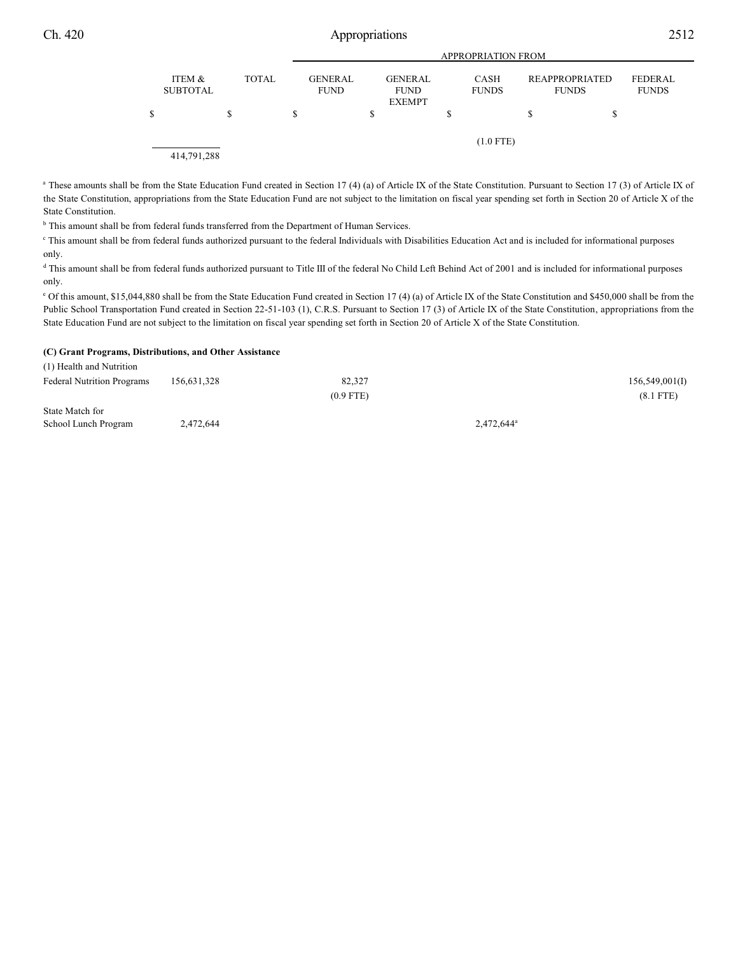| Ch. 420 | Appropriations            |              |                               |                                                |                           |                                |                         | 2512 |  |
|---------|---------------------------|--------------|-------------------------------|------------------------------------------------|---------------------------|--------------------------------|-------------------------|------|--|
|         |                           |              |                               |                                                | <b>APPROPRIATION FROM</b> |                                |                         |      |  |
|         | ITEM &<br><b>SUBTOTAL</b> | <b>TOTAL</b> | <b>GENERAL</b><br><b>FUND</b> | <b>GENERAL</b><br><b>FUND</b><br><b>EXEMPT</b> | CASH<br><b>FUNDS</b>      | REAPPROPRIATED<br><b>FUNDS</b> | FEDERAL<br><b>FUNDS</b> |      |  |
|         |                           | \$           | \$                            |                                                | ъ                         | D                              |                         |      |  |
|         |                           |              |                               |                                                | $(1.0$ FTE)               |                                |                         |      |  |
|         | 414,791,288               |              |                               |                                                |                           |                                |                         |      |  |

<sup>a</sup> These amounts shall be from the State Education Fund created in Section 17 (4) (a) of Article IX of the State Constitution. Pursuant to Section 17 (3) of Article IX of the State Constitution, appropriations from the State Education Fund are not subject to the limitation on fiscal year spending set forth in Section 20 of Article X of the State Constitution.

<sup>b</sup> This amount shall be from federal funds transferred from the Department of Human Services.

<sup>c</sup> This amount shall be from federal funds authorized pursuant to the federal Individuals with Disabilities Education Act and is included for informational purposes only.

<sup>d</sup> This amount shall be from federal funds authorized pursuant to Title III of the federal No Child Left Behind Act of 2001 and is included for informational purposes only.

<sup>e</sup> Of this amount, \$15,044,880 shall be from the State Education Fund created in Section 17 (4) (a) of Article IX of the State Constitution and \$450,000 shall be from the Public School Transportation Fund created in Section 22-51-103 (1), C.R.S. Pursuant to Section 17 (3) of Article IX of the State Constitution, appropriations from the State Education Fund are not subject to the limitation on fiscal year spending set forth in Section 20 of Article X of the State Constitution.

#### **(C) Grant Programs, Distributions, and Other Assistance**

| (1) Health and Nutrition          |             |             |                        |
|-----------------------------------|-------------|-------------|------------------------|
| <b>Federal Nutrition Programs</b> | 156,631,328 | 82,327      | 156,549,001(I)         |
|                                   |             | $(0.9$ FTE) | $(8.1$ FTE)            |
| State Match for                   |             |             |                        |
| School Lunch Program              | 2,472,644   |             | 2,472,644 <sup>a</sup> |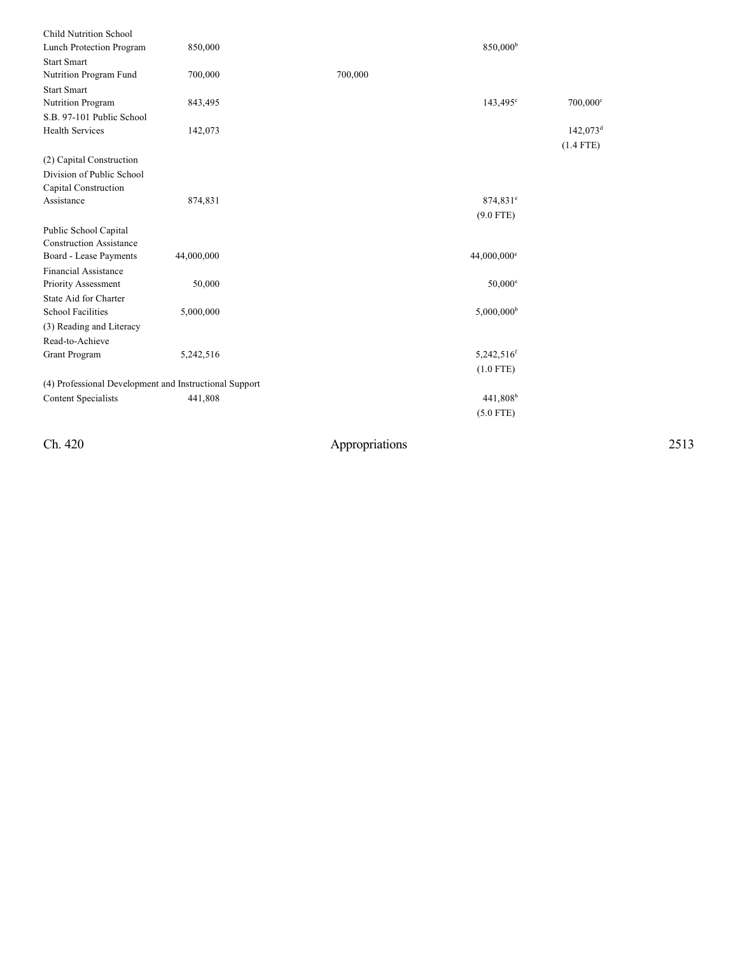| 850,000                                                |         | 850,000 <sup>b</sup>             |
|--------------------------------------------------------|---------|----------------------------------|
|                                                        |         |                                  |
| 700,000                                                | 700,000 |                                  |
|                                                        |         |                                  |
| 843,495                                                |         | $143,495^{\circ}$<br>$700,000$ c |
|                                                        |         |                                  |
| 142,073                                                |         | $142,073$ <sup>d</sup>           |
|                                                        |         | $(1.4$ FTE)                      |
|                                                        |         |                                  |
|                                                        |         |                                  |
|                                                        |         |                                  |
| 874,831                                                |         | 874,831 <sup>e</sup>             |
|                                                        |         | $(9.0$ FTE)                      |
|                                                        |         |                                  |
|                                                        |         |                                  |
| 44,000,000                                             |         |                                  |
|                                                        |         |                                  |
| 50,000                                                 |         | $50,000$ <sup>e</sup>            |
|                                                        |         |                                  |
| 5,000,000                                              |         | $5,000,000$ <sup>b</sup>         |
|                                                        |         |                                  |
|                                                        |         |                                  |
| 5,242,516                                              |         | 5,242,516 <sup>f</sup>           |
|                                                        |         | $(1.0$ FTE)                      |
| (4) Professional Development and Instructional Support |         |                                  |
| 441,808                                                |         | 441,808 <sup>b</sup>             |
|                                                        |         | $(5.0$ FTE)                      |
|                                                        |         | 44,000,000 <sup>e</sup>          |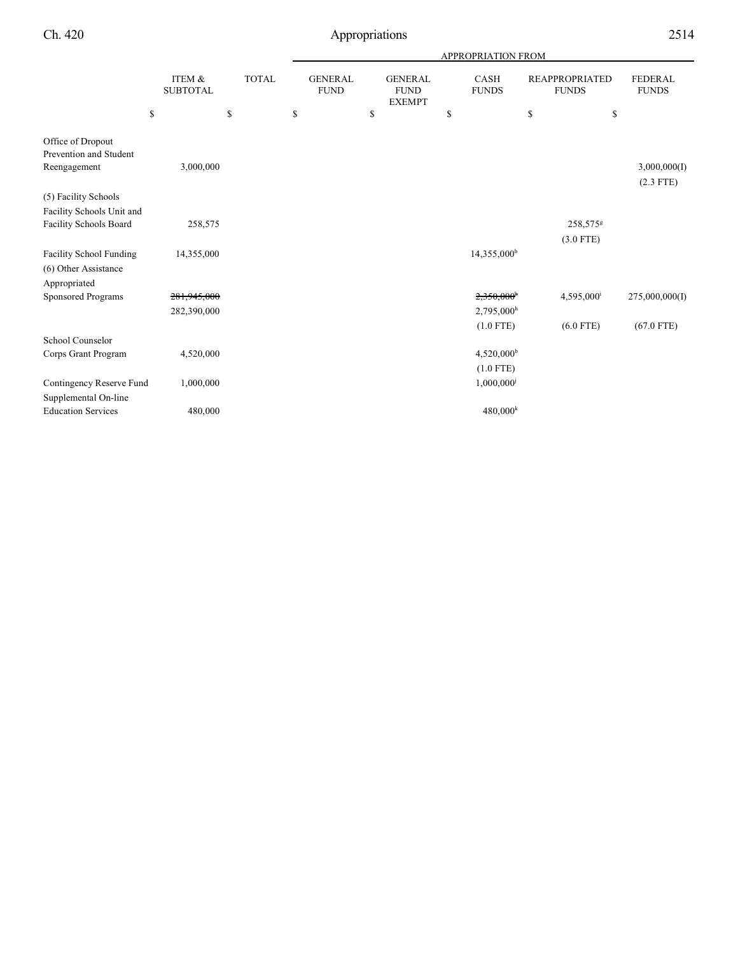|                                             |                           | <b>APPROPRIATION FROM</b> |    |                               |    |                                                |    |                             |                                       |                                |
|---------------------------------------------|---------------------------|---------------------------|----|-------------------------------|----|------------------------------------------------|----|-----------------------------|---------------------------------------|--------------------------------|
|                                             | ITEM &<br><b>SUBTOTAL</b> | <b>TOTAL</b>              |    | <b>GENERAL</b><br><b>FUND</b> |    | <b>GENERAL</b><br><b>FUND</b><br><b>EXEMPT</b> |    | <b>CASH</b><br><b>FUNDS</b> | <b>REAPPROPRIATED</b><br><b>FUNDS</b> | <b>FEDERAL</b><br><b>FUNDS</b> |
|                                             | \$                        | \$                        | \$ |                               | \$ |                                                | \$ |                             | \$<br>\$                              |                                |
| Office of Dropout<br>Prevention and Student |                           |                           |    |                               |    |                                                |    |                             |                                       |                                |
| Reengagement                                | 3,000,000                 |                           |    |                               |    |                                                |    |                             |                                       | 3,000,000(I)<br>$(2.3$ FTE)    |
| (5) Facility Schools                        |                           |                           |    |                               |    |                                                |    |                             |                                       |                                |
| Facility Schools Unit and                   |                           |                           |    |                               |    |                                                |    |                             |                                       |                                |
| <b>Facility Schools Board</b>               | 258,575                   |                           |    |                               |    |                                                |    |                             | 258,575 <sup>g</sup>                  |                                |
|                                             |                           |                           |    |                               |    |                                                |    |                             | $(3.0$ FTE)                           |                                |
| <b>Facility School Funding</b>              | 14,355,000                |                           |    |                               |    |                                                |    | 14,355,000 <sup>b</sup>     |                                       |                                |
| (6) Other Assistance                        |                           |                           |    |                               |    |                                                |    |                             |                                       |                                |
| Appropriated                                |                           |                           |    |                               |    |                                                |    |                             |                                       |                                |
| <b>Sponsored Programs</b>                   | 281,945,000               |                           |    |                               |    |                                                |    | $2,350,000$ <sup>h</sup>    | $4,595,000^{\rm i}$                   | 275,000,000(I)                 |
|                                             | 282,390,000               |                           |    |                               |    |                                                |    | $2,795,000$ <sup>h</sup>    |                                       |                                |
|                                             |                           |                           |    |                               |    |                                                |    | $(1.0$ FTE)                 | $(6.0$ FTE)                           | $(67.0$ FTE)                   |
| School Counselor                            |                           |                           |    |                               |    |                                                |    |                             |                                       |                                |
| Corps Grant Program                         | 4,520,000                 |                           |    |                               |    |                                                |    | $4,520,000$ <sup>b</sup>    |                                       |                                |
|                                             |                           |                           |    |                               |    |                                                |    | $(1.0$ FTE)                 |                                       |                                |
| Contingency Reserve Fund                    | 1,000,000                 |                           |    |                               |    |                                                |    | 1,000,000                   |                                       |                                |
| Supplemental On-line                        |                           |                           |    |                               |    |                                                |    |                             |                                       |                                |
| <b>Education Services</b>                   | 480,000                   |                           |    |                               |    |                                                |    | $480,000^k$                 |                                       |                                |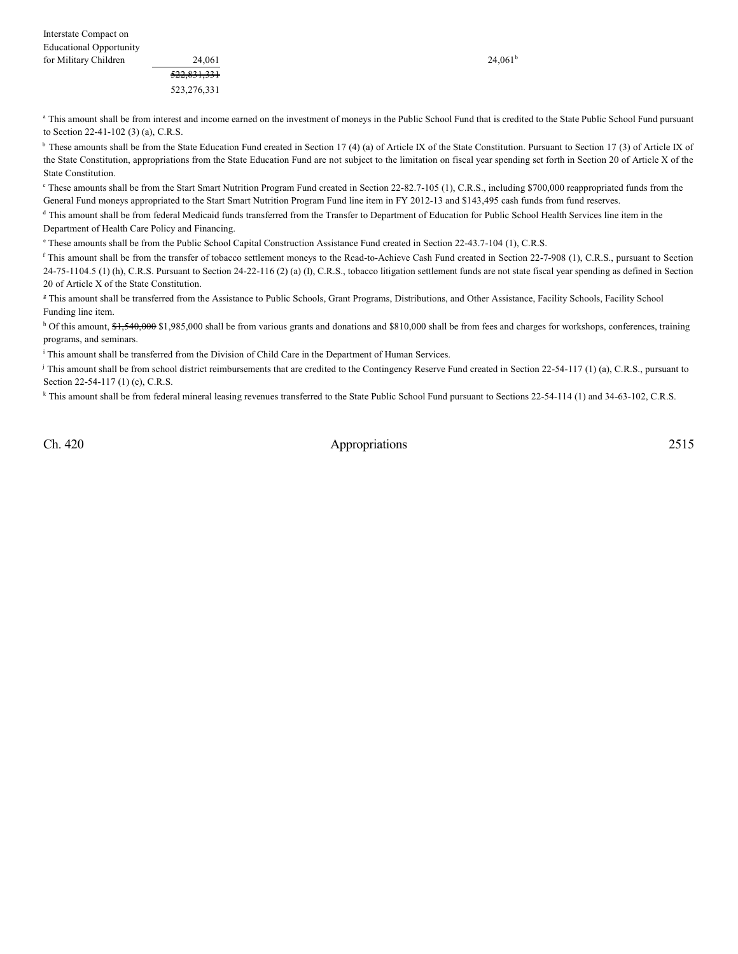<sup>a</sup> This amount shall be from interest and income earned on the investment of moneys in the Public School Fund that is credited to the State Public School Fund pursuant to Section 22-41-102 (3) (a), C.R.S.

<sup>b</sup> These amounts shall be from the State Education Fund created in Section 17 (4) (a) of Article IX of the State Constitution. Pursuant to Section 17 (3) of Article IX of the State Constitution, appropriations from the State Education Fund are not subject to the limitation on fiscal year spending set forth in Section 20 of Article X of the State Constitution.

 $\degree$  These amounts shall be from the Start Smart Nutrition Program Fund created in Section 22-82.7-105 (1), C.R.S., including \$700,000 reappropriated funds from the General Fund moneys appropriated to the Start Smart Nutrition Program Fund line item in FY 2012-13 and \$143,495 cash funds from fund reserves.

<sup>d</sup> This amount shall be from federal Medicaid funds transferred from the Transfer to Department of Education for Public School Health Services line item in the Department of Health Care Policy and Financing.

<sup>e</sup> These amounts shall be from the Public School Capital Construction Assistance Fund created in Section 22-43.7-104 (1), C.R.S.

<sup>f</sup> This amount shall be from the transfer of tobacco settlement moneys to the Read-to-Achieve Cash Fund created in Section 22-7-908 (1), C.R.S., pursuant to Section 24-75-1104.5 (1) (h), C.R.S. Pursuant to Section 24-22-116 (2) (a) (I), C.R.S., tobacco litigation settlement funds are not state fiscal year spending as defined in Section 20 of Article X of the State Constitution.

<sup>g</sup> This amount shall be transferred from the Assistance to Public Schools, Grant Programs, Distributions, and Other Assistance, Facility Schools, Facility School Funding line item.

<sup>h</sup> Of this amount, \$1,540,000 \$1,985,000 shall be from various grants and donations and \$810,000 shall be from fees and charges for workshops, conferences, training programs, and seminars.

<sup>i</sup> This amount shall be transferred from the Division of Child Care in the Department of Human Services.

This amount shall be from school district reimbursements that are credited to the Contingency Reserve Fund created in Section 22-54-117 (1) (a), C.R.S., pursuant to Section 22-54-117 (1) (c), C.R.S.

<sup>k</sup> This amount shall be from federal mineral leasing revenues transferred to the State Public School Fund pursuant to Sections 22-54-114 (1) and 34-63-102, C.R.S.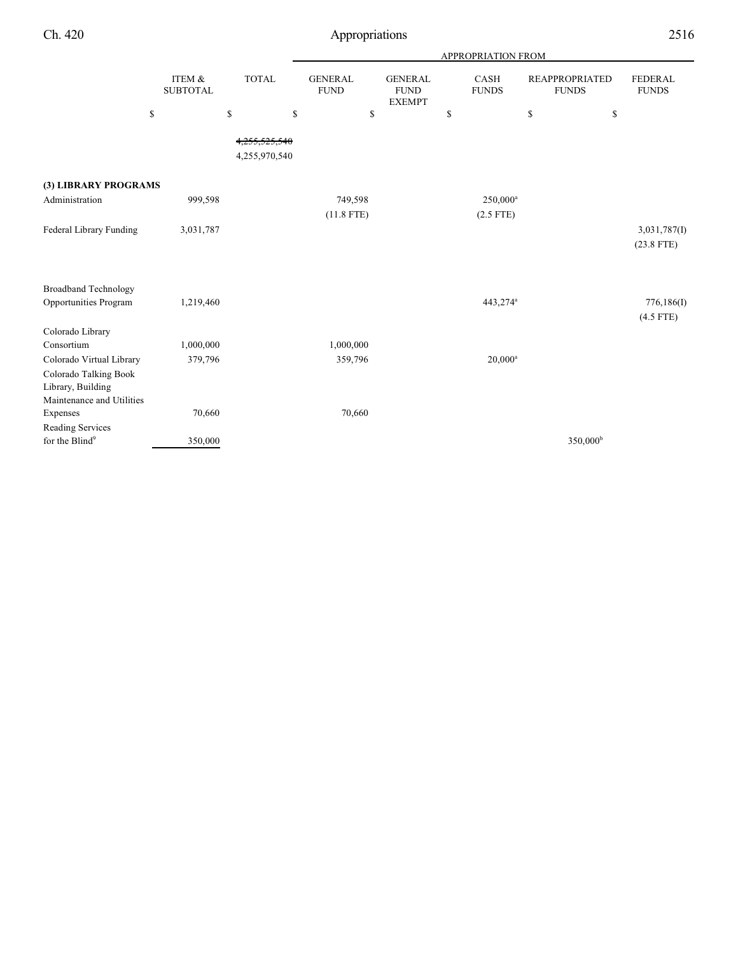|                                                                                                     |                           |                                      |                               | APPROPRIATION FROM                             |                                     |                                       |                                |  |  |  |  |
|-----------------------------------------------------------------------------------------------------|---------------------------|--------------------------------------|-------------------------------|------------------------------------------------|-------------------------------------|---------------------------------------|--------------------------------|--|--|--|--|
|                                                                                                     | ITEM &<br><b>SUBTOTAL</b> | <b>TOTAL</b>                         | <b>GENERAL</b><br><b>FUND</b> | <b>GENERAL</b><br><b>FUND</b><br><b>EXEMPT</b> | CASH<br><b>FUNDS</b>                | <b>REAPPROPRIATED</b><br><b>FUNDS</b> | <b>FEDERAL</b><br><b>FUNDS</b> |  |  |  |  |
|                                                                                                     | \$                        | \$                                   | \$<br>\$                      |                                                | \$                                  | \$<br>\$                              |                                |  |  |  |  |
|                                                                                                     |                           | <del>525,540.</del><br>4,255,970,540 |                               |                                                |                                     |                                       |                                |  |  |  |  |
| (3) LIBRARY PROGRAMS                                                                                |                           |                                      |                               |                                                |                                     |                                       |                                |  |  |  |  |
| Administration                                                                                      | 999,598                   |                                      | 749,598<br>$(11.8$ FTE)       |                                                | 250,000 <sup>a</sup><br>$(2.5$ FTE) |                                       |                                |  |  |  |  |
| Federal Library Funding                                                                             | 3,031,787                 |                                      |                               |                                                |                                     |                                       | 3,031,787(I)<br>$(23.8$ FTE)   |  |  |  |  |
| <b>Broadband Technology</b><br>Opportunities Program                                                | 1,219,460                 |                                      |                               |                                                | 443,274 <sup>a</sup>                |                                       | 776,186(I)                     |  |  |  |  |
|                                                                                                     |                           |                                      |                               |                                                |                                     |                                       | $(4.5$ FTE)                    |  |  |  |  |
| Colorado Library<br>Consortium                                                                      | 1,000,000                 |                                      | 1,000,000                     |                                                |                                     |                                       |                                |  |  |  |  |
| Colorado Virtual Library<br>Colorado Talking Book<br>Library, Building<br>Maintenance and Utilities | 379,796                   |                                      | 359,796                       |                                                | $20,000^a$                          |                                       |                                |  |  |  |  |
| Expenses                                                                                            | 70,660                    |                                      | 70,660                        |                                                |                                     |                                       |                                |  |  |  |  |
| Reading Services<br>for the Blind <sup>9</sup>                                                      | 350,000                   |                                      |                               |                                                |                                     | 350,000 <sup>b</sup>                  |                                |  |  |  |  |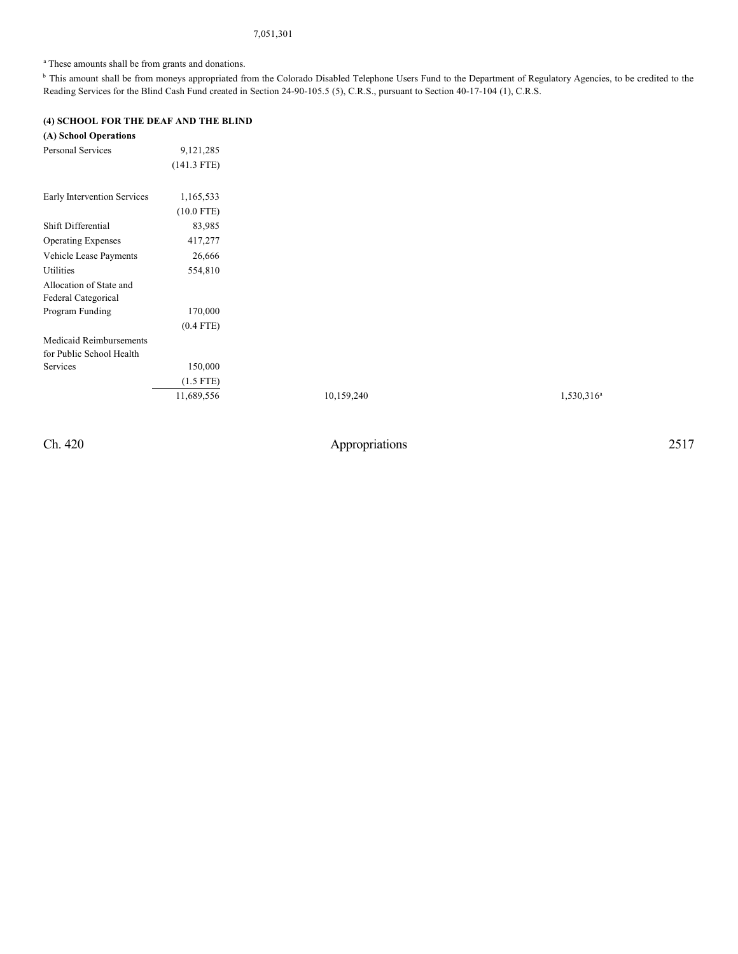# 7,051,301

<sup>a</sup> These amounts shall be from grants and donations.

<sup>b</sup> This amount shall be from moneys appropriated from the Colorado Disabled Telephone Users Fund to the Department of Regulatory Agencies, to be credited to the Reading Services for the Blind Cash Fund created in Section 24-90-105.5 (5), C.R.S., pursuant to Section 40-17-104 (1), C.R.S.

# **(4) SCHOOL FOR THE DEAF AND THE BLIND**

| (A) School Operations       |               |            |
|-----------------------------|---------------|------------|
| <b>Personal Services</b>    | 9, 121, 285   |            |
|                             | $(141.3$ FTE) |            |
| Early Intervention Services | 1,165,533     |            |
|                             | $(10.0$ FTE)  |            |
| Shift Differential          | 83,985        |            |
| <b>Operating Expenses</b>   | 417,277       |            |
| Vehicle Lease Payments      | 26,666        |            |
| Utilities                   | 554,810       |            |
| Allocation of State and     |               |            |
| Federal Categorical         |               |            |
| Program Funding             | 170,000       |            |
|                             | $(0.4$ FTE)   |            |
| Medicaid Reimbursements     |               |            |
| for Public School Health    |               |            |
| Services                    | 150,000       |            |
|                             | $(1.5$ FTE)   |            |
|                             | 11,689,556    | 10,159,240 |

Ch. 420 Appropriations 2517

 $1,530,316^a$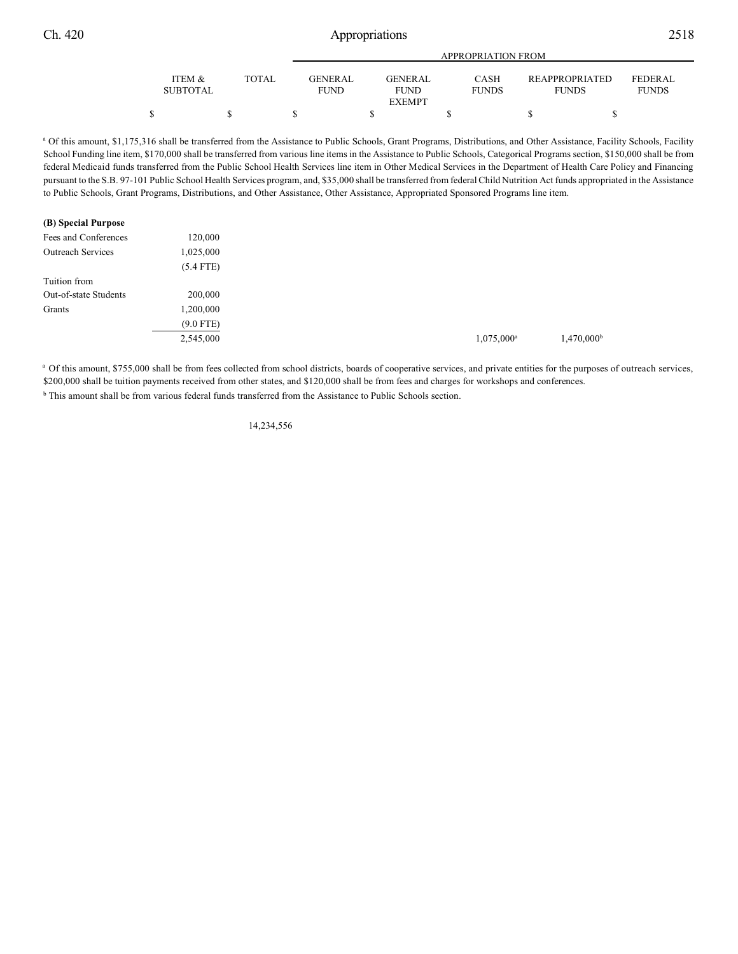|                           |       | APPROPRIATION FROM             |  |                               |  |                             |  |                                       |                                |  |  |  |
|---------------------------|-------|--------------------------------|--|-------------------------------|--|-----------------------------|--|---------------------------------------|--------------------------------|--|--|--|
| ITEM &<br><b>SUBTOTAL</b> | TOTAL | <b>GENER AL</b><br><b>FUND</b> |  | <b>GENERAL</b><br><b>FUND</b> |  | <b>CASH</b><br><b>FUNDS</b> |  | <b>REAPPROPRIATED</b><br><b>FUNDS</b> | <b>FEDERAL</b><br><b>FUNDS</b> |  |  |  |
|                           |       |                                |  | <b>EXEMPT</b>                 |  |                             |  |                                       |                                |  |  |  |
|                           |       |                                |  |                               |  |                             |  |                                       |                                |  |  |  |

<sup>a</sup> Of this amount, \$1,175,316 shall be transferred from the Assistance to Public Schools, Grant Programs, Distributions, and Other Assistance, Facility Schools, Facility School Funding line item, \$170,000 shall be transferred from various line items in the Assistance to Public Schools, Categorical Programs section, \$150,000 shall be from federal Medicaid funds transferred from the Public School Health Services line item in Other Medical Services in the Department of Health Care Policy and Financing pursuant to the S.B. 97-101 Public School Health Services program, and, \$35,000 shall be transferred from federal Child Nutrition Act funds appropriated in the Assistance to Public Schools, Grant Programs, Distributions, and Other Assistance, Other Assistance, Appropriated Sponsored Programs line item.

#### **(B) Special Purpose**

| Fees and Conferences         | 120,000     |
|------------------------------|-------------|
| <b>Outreach Services</b>     | 1,025,000   |
|                              | $(5.4$ FTE) |
| Tuition from                 |             |
| <b>Out-of-state Students</b> | 200,000     |
| Grants                       | 1,200,000   |
|                              | $(9.0$ FTE) |
|                              | 2,545,000   |
|                              |             |

<sup>a</sup> Of this amount, \$755,000 shall be from fees collected from school districts, boards of cooperative services, and private entities for the purposes of outreach services, \$200,000 shall be tuition payments received from other states, and \$120,000 shall be from fees and charges for workshops and conferences. <sup>b</sup> This amount shall be from various federal funds transferred from the Assistance to Public Schools section.

14,234,556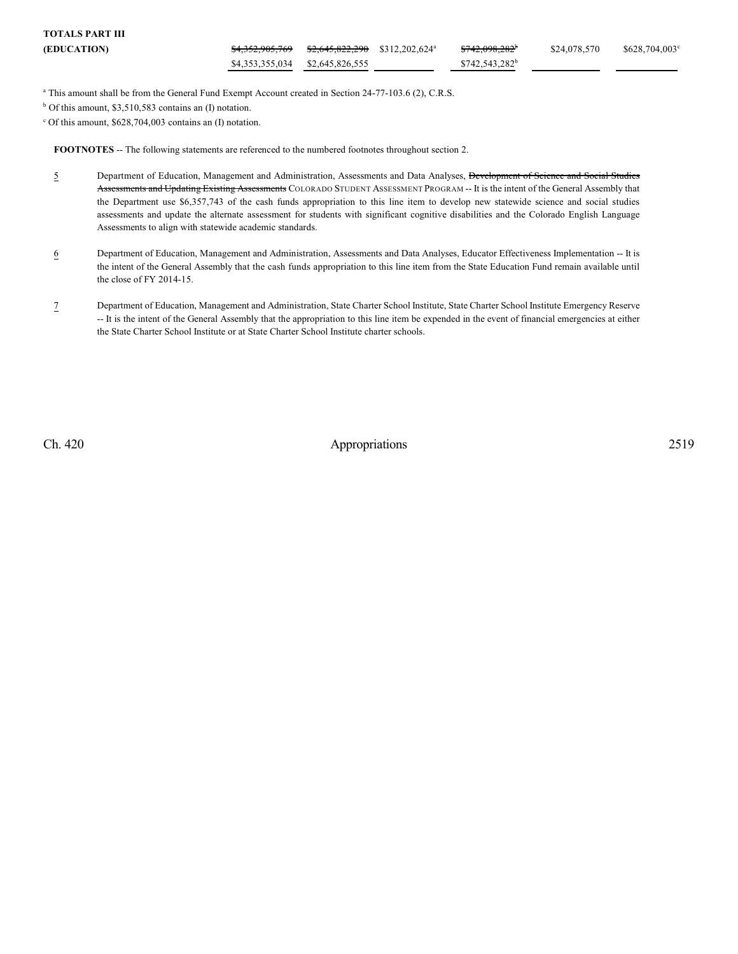| TOTALS PART III    |                                                    |  |                            |              |                |
|--------------------|----------------------------------------------------|--|----------------------------|--------------|----------------|
| <b>(EDUCATION)</b> | $$4,352,905,769$ $$2,645,822,290$ $$312,202,624^a$ |  | <del>\$742,098,282</del>   | \$24,078,570 | \$628,704,003° |
|                    | \$4,353,355,034 \$2,645,826,555                    |  | \$742,543,282 <sup>b</sup> |              |                |

<sup>a</sup> This amount shall be from the General Fund Exempt Account created in Section 24-77-103.6 (2), C.R.S.

 $b$  Of this amount, \$3,510,583 contains an (I) notation.

 $c$  Of this amount, \$628,704,003 contains an (I) notation.

**FOOTNOTES** -- The following statements are referenced to the numbered footnotes throughout section 2.

- 5 Department of Education, Management and Administration, Assessments and Data Analyses, Development of Science and Social Studies Assessments and Updating Existing Assessments COLORADO STUDENT ASSESSMENT PROGRAM -- It is the intent of the General Assembly that the Department use \$6,357,743 of the cash funds appropriation to this line item to develop new statewide science and social studies assessments and update the alternate assessment for students with significant cognitive disabilities and the Colorado English Language Assessments to align with statewide academic standards.
- 6 Department of Education, Management and Administration, Assessments and Data Analyses, Educator Effectiveness Implementation -- It is the intent of the General Assembly that the cash funds appropriation to this line item from the State Education Fund remain available until the close of FY 2014-15.
- 7 Department of Education, Management and Administration, State Charter School Institute, State Charter School Institute Emergency Reserve -- It is the intent of the General Assembly that the appropriation to this line item be expended in the event of financial emergencies at either the State Charter School Institute or at State Charter School Institute charter schools.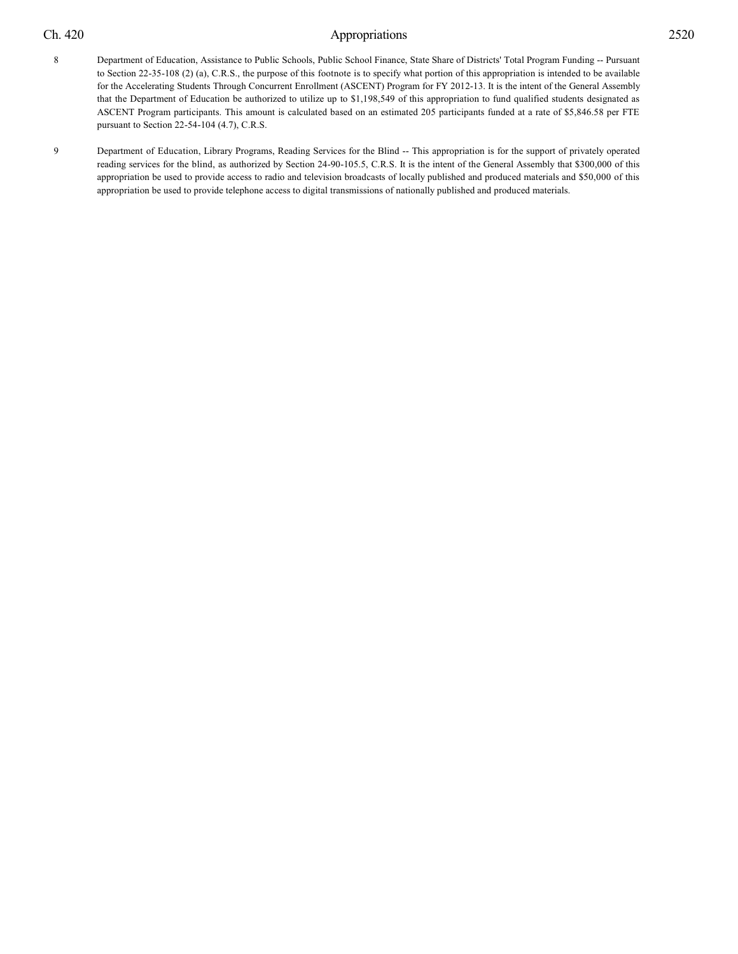- 8 Department of Education, Assistance to Public Schools, Public School Finance, State Share of Districts' Total Program Funding -- Pursuant to Section 22-35-108 (2) (a), C.R.S., the purpose of this footnote is to specify what portion of this appropriation is intended to be available for the Accelerating Students Through Concurrent Enrollment (ASCENT) Program for FY 2012-13. It is the intent of the General Assembly that the Department of Education be authorized to utilize up to \$1,198,549 of this appropriation to fund qualified students designated as ASCENT Program participants. This amount is calculated based on an estimated 205 participants funded at a rate of \$5,846.58 per FTE pursuant to Section 22-54-104 (4.7), C.R.S.
- 9 Department of Education, Library Programs, Reading Services for the Blind -- This appropriation is for the support of privately operated reading services for the blind, as authorized by Section 24-90-105.5, C.R.S. It is the intent of the General Assembly that \$300,000 of this appropriation be used to provide access to radio and television broadcasts of locally published and produced materials and \$50,000 of this appropriation be used to provide telephone access to digital transmissions of nationally published and produced materials.